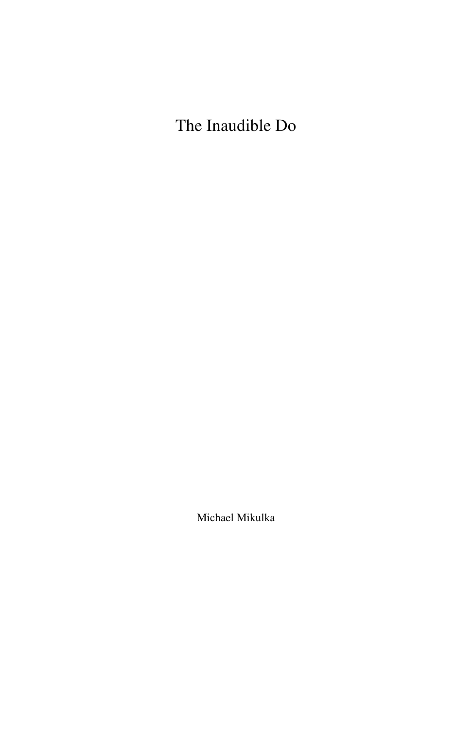Michael Mikulka

The Inaudible Do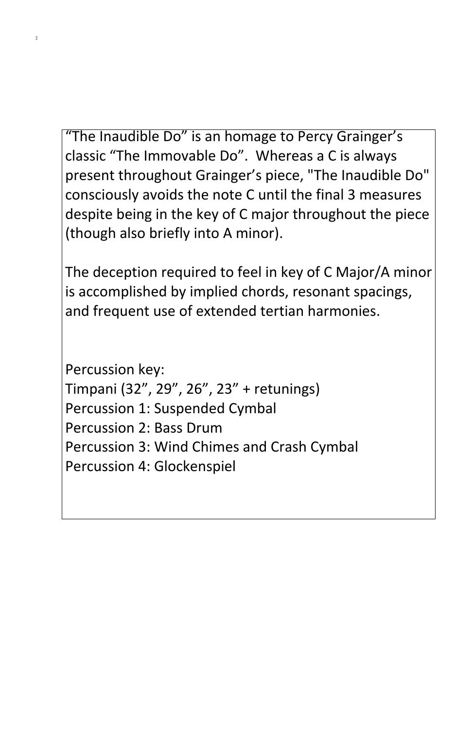"The Inaudible Do" is an homage to Percy Grainger's classic "The Immovable Do". Whereas a C is always present throughout Grainger's piece, "The Inaudible Do" consciously avoids the note C until the final 3 measures despite being in the key of C major throughout the piece (though also briefly into A minor).

The deception required to feel in key of C Major/A minor is accomplished by implied chords, resonant spacings, and frequent use of extended tertian harmonies.

Percussion key: Timpani (32", 29", 26", 23" + retunings) Percussion 1: Suspended Cymbal Percussion 2: Bass Drum Percussion 3: Wind Chimes and Crash Cymbal Percussion 4: Glockenspiel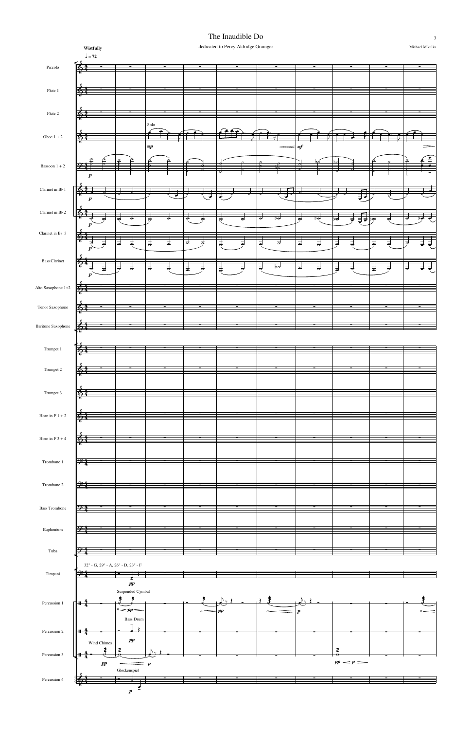## The Inaudible Do

 $64$  $\frac{2}{9}$  $\frac{1}{2}$ Piccolo Flute 1 Flute 2 Oboe  $1 + 2$ Bassoon  $1 + 2$ Clarinet in B $\flat$  1 Clarinet in B $\flat$  2 Clarinet in Bb 3 Bass Clarinet Alto Saxophone 1+2 Tenor Saxophone Baritone Saxophone Trumpet 1 Trumpet 2 Trumpet 3 Horn in F  $1 + 2$ Horn in F  $3 + 4$ Trombone 1 Trombone 2 Bass Trombone Euphonium **Wistfully**  $\sqrt{2} = 72$ mp  $\equiv$  mf p p p p p 4  $rac{4}{4}$ 4  $\frac{4}{4}$ 4 4 4  $\frac{4}{4}$  $\begin{smallmatrix} \phi & 1 \ \phi & 4 \end{smallmatrix}$ 4  $\frac{4}{4}$ 4  $rac{4}{4}$  $\delta$ 4 4  $rac{4}{4}$ 4  $\frac{4}{4}$ 4 4 4  $\frac{4}{4}$ 4  $rac{4}{4}$ 4  $\frac{4}{4}$  $\frac{4}{4}$  $\frac{4}{4}$  $\frac{4}{4}$ 4  $\frac{4}{4}$  dedicated to Percy Aldridge Grainger Michael Mikulka and Michael Mikulka 64 - -Solo <u>ີງ:</u>  $\frac{1}{2}$  $\overline{a}$  $\overline{\phantom{a}}$  $\frac{1}{2}$  $\bigcirc$   $9.4$  and the contract of the contract of the contract of the contract of the contract of the contract of the contract of the contract of the contract of the contract of the contract of the contract of the contract of the  $\mathcal{Y}$  , and the contract of the contract of the contract of the contract of the contract of the contract of the contract of the contract of the contract of the contract of the contract of the contract of the contract o  $9:4$  . The contract of the contract of the contract of the contract of the contract of the contract of the contract of the contract of the contract of the contract of the contract of the contract of the contract of the c  $9.4$  and the contract of the contract of the contract of the contract of the contract of the contract of the contract of the contract of the contract of the contract of the contract of the contract of the contract of the  $\bigodot$ É ₹  $\rightarrow$ é  $\leftarrow$ É Ž  $\widehat{\phantom{iiiiiiiiii}}$  $\hat{e}$  ;  $\hat{e}$  $\frac{1}{\epsilon}$ ₹  $\overline{\phantom{0}}$  $\overline{\phantom{a}}$  $\ddot{\phantom{0}}$ 2  $\bigcap_{i=1}^n$ ₹ é  $\overline{\mathbf{P}}$ e 등 é i<br>P p å è  $\overline{\phantom{0}}$ é Ę è  $\overline{\phantom{0}}$ é  $\overline{\phantom{0}}$ वे  $\overline{\phantom{a}}$  $\sqrt{ }$ 5 ρ ╞ ρ  $\frac{6}{5}$   $\frac{9}{5}$  $\frac{1}{2}$ é  $\overline{\phantom{0}}$ b  $\exists$ لحط  $\exists$  $\geq$  $\acute{\text{o}}$  $\overline{5}$ p  $\overline{\phantom{0}}$ è , é ₣ é ,  $\frac{1}{2}$   $\frac{1}{2}$   $\frac{1}{2}$   $\frac{1}{2}$   $\frac{1}{2}$   $\frac{1}{2}$   $\frac{1}{2}$   $\frac{1}{2}$  $\phi$   $\rightarrow$ र र  $\phi$   $\rightarrow$   $\phi$   $\rightarrow$ J  $\overrightarrow{a}$ Į  $\frac{1}{\sqrt{2}}$  $\phi$   $\rightarrow$  $\overline{\phantom{a}}$  $\sigma$   $\sigma$   $\sigma$   $\sigma$  $\frac{1}{2}$   $\frac{1}{2}$   $\frac{1}{2}$   $\frac{1}{2}$   $\frac{1}{2}$   $\frac{1}{2}$   $\frac{1}{2}$   $\frac{1}{2}$   $\frac{1}{2}$   $\frac{1}{2}$   $\frac{1}{2}$   $\frac{1}{2}$  $\frac{1}{\sqrt{2}}$   $\frac{1}{\sqrt{2}}$   $\frac{1}{\sqrt{2}}$   $\frac{1}{\sqrt{2}}$   $\frac{1}{\sqrt{2}}$   $\frac{1}{\sqrt{2}}$ रेड़ें | इंड्रें | इंड्रें | इंड्रें | इंड्रें | इंड्रें | इंड्रें | इंड्रें | इंड्रें | इंड्रें | इंड्रें | इ<br>प्रश्न करने के बाद पर स्वासन करने के बाद पर स्वासन करने के बाद करने के बाद करने के बाद करने के बाद करने के बाद र चे त्र त्र त्र त्र त्र त्र त्र त्र त र्न्न न  $\overrightarrow{b}$   $\overrightarrow{a}$   $\overrightarrow{b}$   $\overrightarrow{c}$   $\overrightarrow{d}$   $\overrightarrow{d}$   $\overrightarrow{b}$   $\overrightarrow{d}$ 

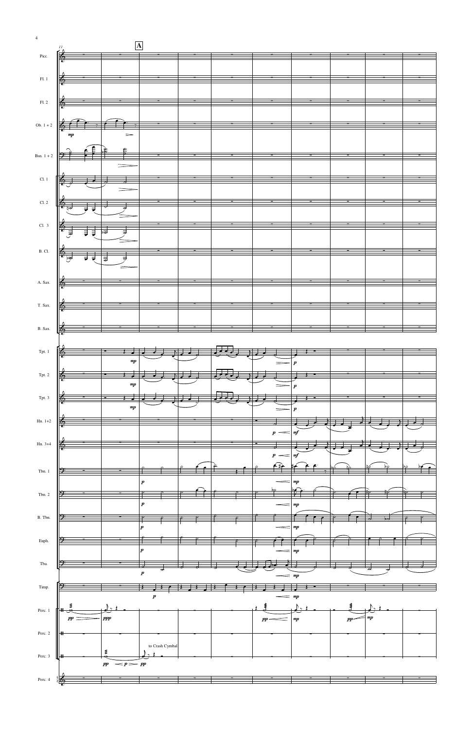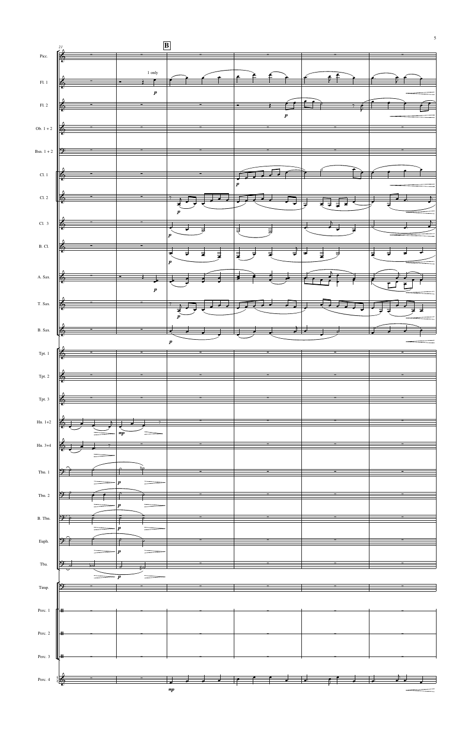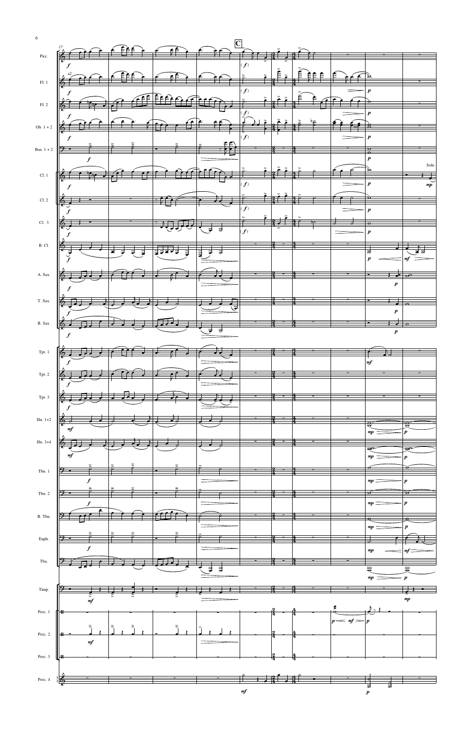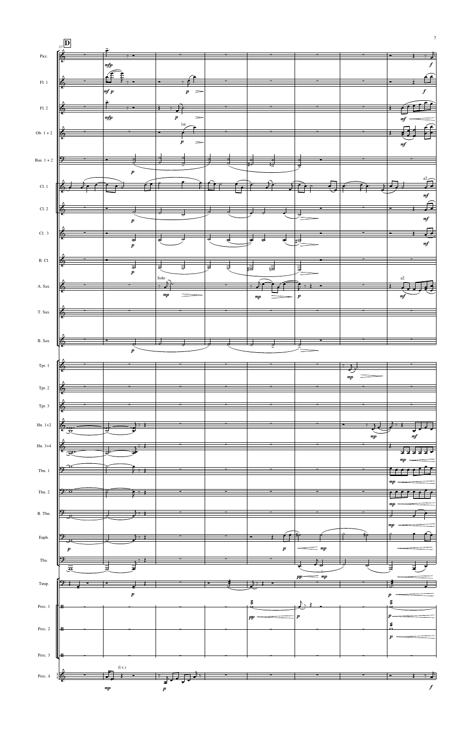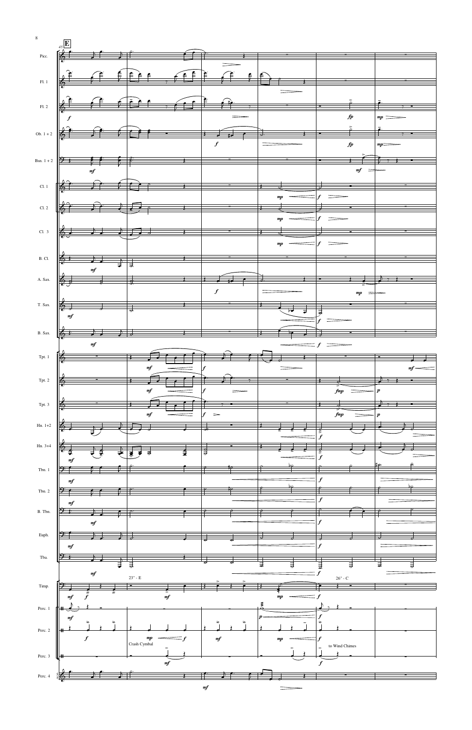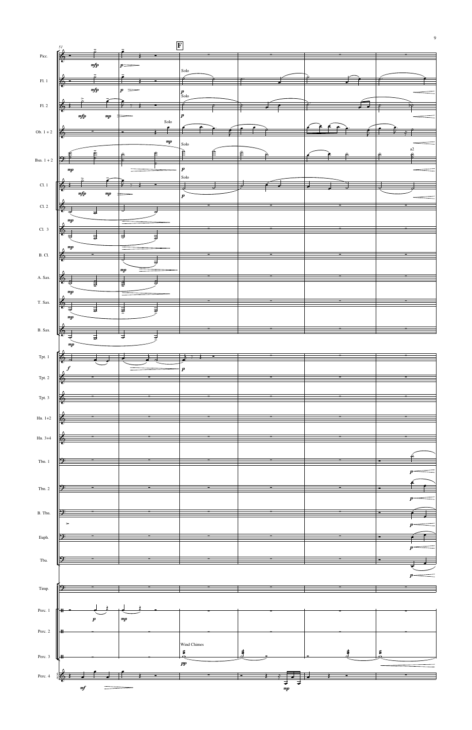